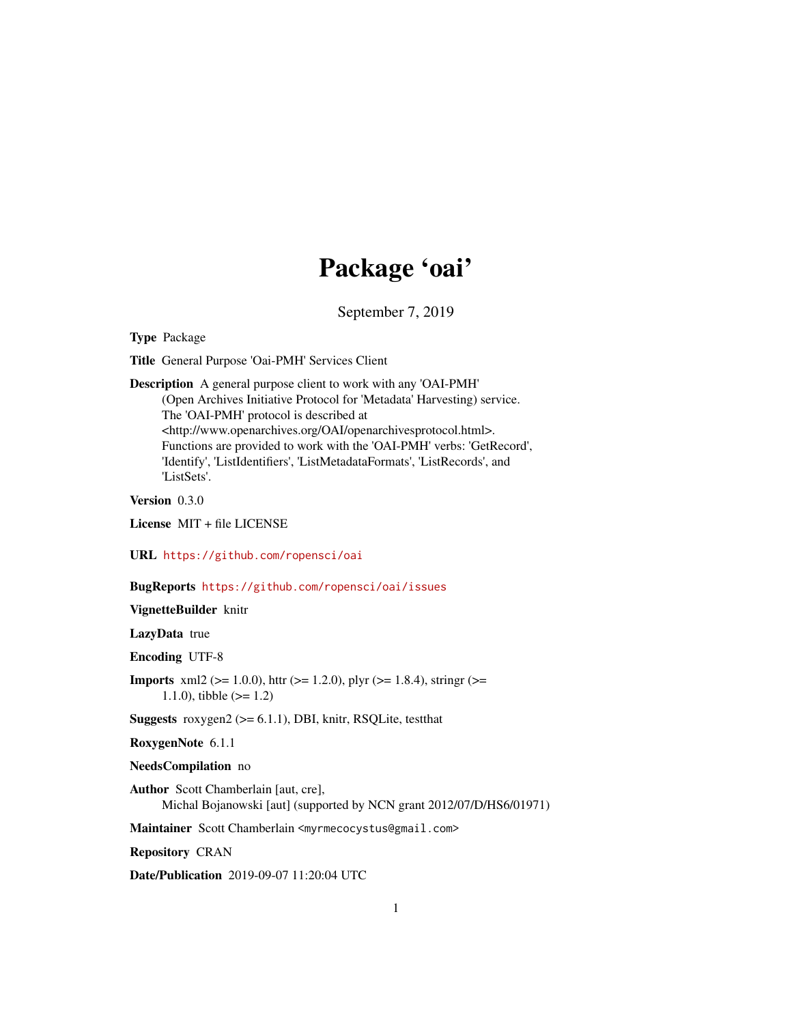# Package 'oai'

September 7, 2019

<span id="page-0-0"></span>Type Package

Title General Purpose 'Oai-PMH' Services Client

Description A general purpose client to work with any 'OAI-PMH' (Open Archives Initiative Protocol for 'Metadata' Harvesting) service. The 'OAI-PMH' protocol is described at <http://www.openarchives.org/OAI/openarchivesprotocol.html>. Functions are provided to work with the 'OAI-PMH' verbs: 'GetRecord', 'Identify', 'ListIdentifiers', 'ListMetadataFormats', 'ListRecords', and 'ListSets'.

Version 0.3.0

License MIT + file LICENSE

URL <https://github.com/ropensci/oai>

#### BugReports <https://github.com/ropensci/oai/issues>

VignetteBuilder knitr

LazyData true

Encoding UTF-8

**Imports** xml2 ( $>= 1.0.0$ ), httr ( $>= 1.2.0$ ), plyr ( $>= 1.8.4$ ), stringr ( $>=$ 1.1.0), tibble  $(>= 1.2)$ 

Suggests roxygen2 (>= 6.1.1), DBI, knitr, RSQLite, testthat

RoxygenNote 6.1.1

NeedsCompilation no

Author Scott Chamberlain [aut, cre], Michal Bojanowski [aut] (supported by NCN grant 2012/07/D/HS6/01971)

Maintainer Scott Chamberlain <myrmecocystus@gmail.com>

Repository CRAN

Date/Publication 2019-09-07 11:20:04 UTC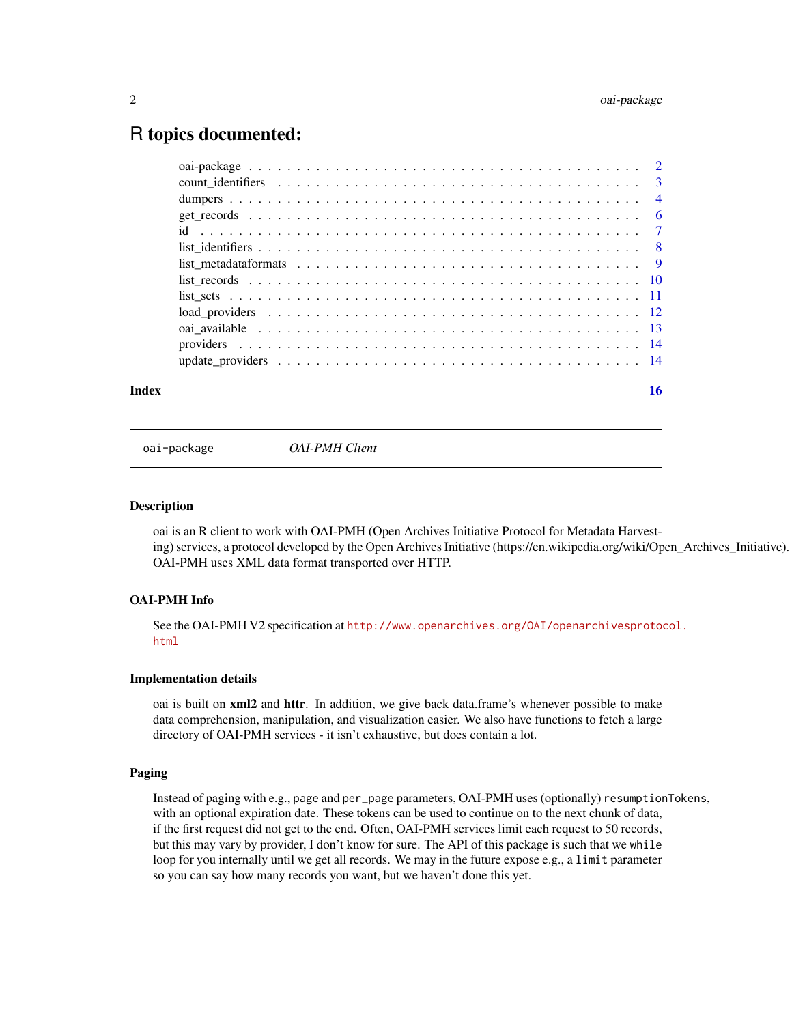# <span id="page-1-0"></span>R topics documented:

|       | $list\_metadataformats \dots \dots \dots \dots \dots \dots \dots \dots \dots \dots \dots \dots \dots \dots \dots \dots$ |    |
|-------|-------------------------------------------------------------------------------------------------------------------------|----|
|       |                                                                                                                         |    |
|       |                                                                                                                         |    |
|       |                                                                                                                         |    |
|       |                                                                                                                         |    |
|       |                                                                                                                         |    |
|       |                                                                                                                         |    |
| Index |                                                                                                                         | 16 |

oai-package *OAI-PMH Client*

#### **Description**

oai is an R client to work with OAI-PMH (Open Archives Initiative Protocol for Metadata Harvesting) services, a protocol developed by the Open Archives Initiative (https://en.wikipedia.org/wiki/Open\_Archives\_Initiative). OAI-PMH uses XML data format transported over HTTP.

#### OAI-PMH Info

See the OAI-PMH V2 specification at [http://www.openarchives.org/OAI/openarchivesprotoc](http://www.openarchives.org/OAI/openarchivesprotocol.html)ol. [html](http://www.openarchives.org/OAI/openarchivesprotocol.html)

#### Implementation details

oai is built on xml2 and httr. In addition, we give back data.frame's whenever possible to make data comprehension, manipulation, and visualization easier. We also have functions to fetch a large directory of OAI-PMH services - it isn't exhaustive, but does contain a lot.

#### Paging

Instead of paging with e.g., page and per\_page parameters, OAI-PMH uses (optionally) resumptionTokens, with an optional expiration date. These tokens can be used to continue on to the next chunk of data, if the first request did not get to the end. Often, OAI-PMH services limit each request to 50 records, but this may vary by provider, I don't know for sure. The API of this package is such that we while loop for you internally until we get all records. We may in the future expose e.g., a limit parameter so you can say how many records you want, but we haven't done this yet.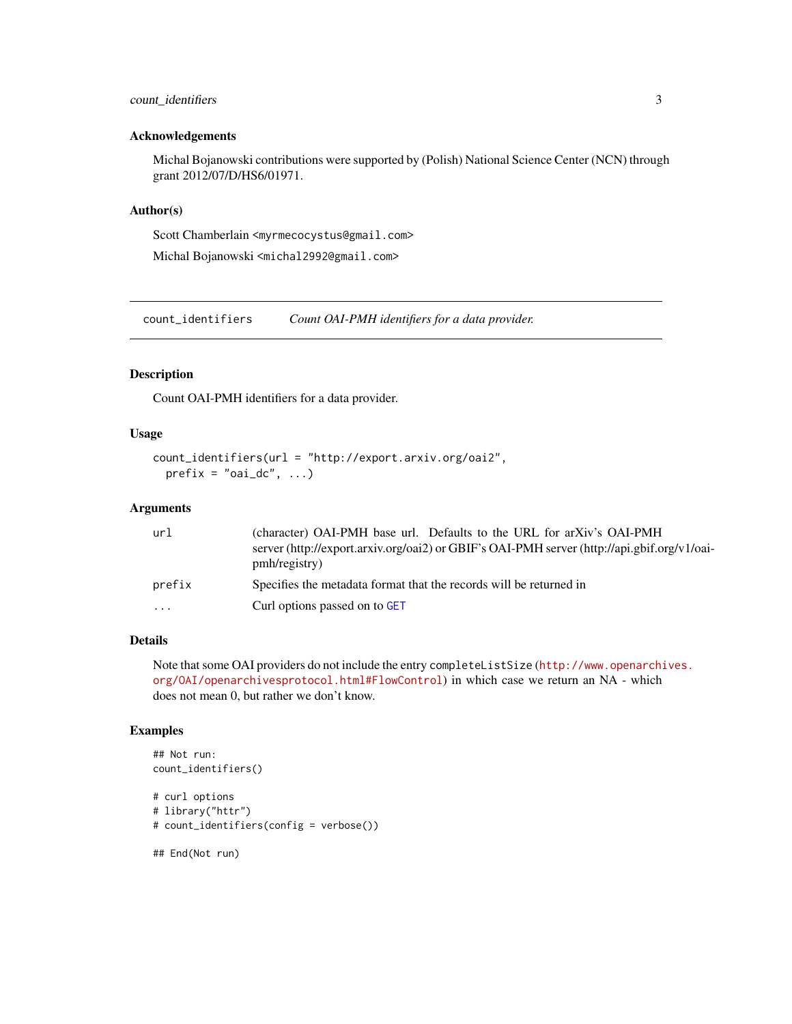### <span id="page-2-0"></span>count\_identifiers 3

#### Acknowledgements

Michal Bojanowski contributions were supported by (Polish) National Science Center (NCN) through grant 2012/07/D/HS6/01971.

#### Author(s)

Scott Chamberlain <myrmecocystus@gmail.com> Michal Bojanowski <michal2992@gmail.com>

count\_identifiers *Count OAI-PMH identifiers for a data provider.*

#### Description

Count OAI-PMH identifiers for a data provider.

#### Usage

```
count_identifiers(url = "http://export.arxiv.org/oai2",
 prefix = "oai_dc", ...)
```
#### Arguments

| url      | (character) OAI-PMH base url. Defaults to the URL for arXiv's OAI-PMH                                        |
|----------|--------------------------------------------------------------------------------------------------------------|
|          | server (http://export.arxiv.org/oai2) or GBIF's OAI-PMH server (http://api.gbif.org/v1/oai-<br>pmh/registry) |
| prefix   | Specifies the metadata format that the records will be returned in                                           |
| $\cdots$ | Curl options passed on to GET                                                                                |

# Details

Note that some OAI providers do not include the entry completeListSize ([http://www.openarchi](http://www.openarchives.org/OAI/openarchivesprotocol.html#FlowControl)ves. [org/OAI/openarchivesprotocol.html#FlowControl](http://www.openarchives.org/OAI/openarchivesprotocol.html#FlowControl)) in which case we return an NA - which does not mean 0, but rather we don't know.

#### Examples

```
## Not run:
count_identifiers()
# curl options
# library("httr")
# count_identifiers(config = verbose())
```
## End(Not run)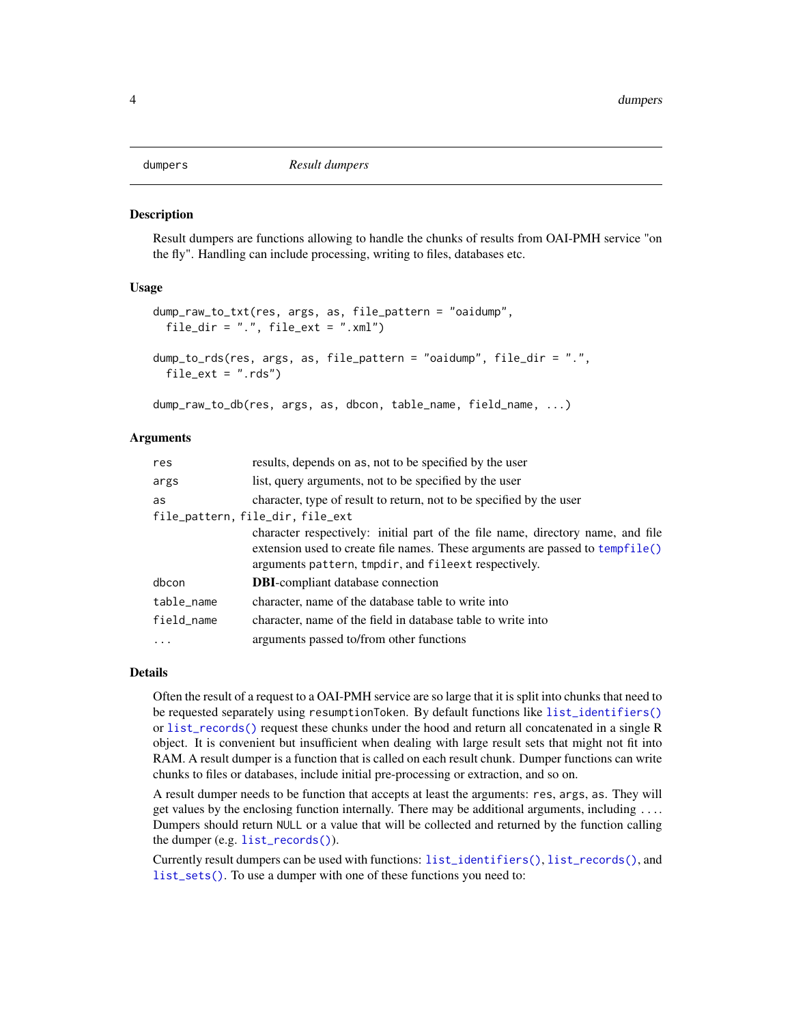<span id="page-3-0"></span>

#### Description

Result dumpers are functions allowing to handle the chunks of results from OAI-PMH service "on the fly". Handling can include processing, writing to files, databases etc.

#### Usage

```
dump_raw_to_txt(res, args, as, file_pattern = "oaidump",
 file_dir = ".", file_ext = ".xml")
dump_to_rds(res, args, as, file_pattern = "oaidump", file_dir = ".",
 file\_ext = "rds")
```
dump\_raw\_to\_db(res, args, as, dbcon, table\_name, field\_name, ...)

#### Arguments

| res        | results, depends on as, not to be specified by the user                                                                                                                                                                  |  |  |
|------------|--------------------------------------------------------------------------------------------------------------------------------------------------------------------------------------------------------------------------|--|--|
| args       | list, query arguments, not to be specified by the user                                                                                                                                                                   |  |  |
| as         | character, type of result to return, not to be specified by the user                                                                                                                                                     |  |  |
|            | file_pattern, file_dir, file_ext                                                                                                                                                                                         |  |  |
|            | character respectively: initial part of the file name, directory name, and file<br>extension used to create file names. These arguments are passed to tempfile()<br>arguments pattern, tmpdir, and fileext respectively. |  |  |
| dbcon      | <b>DBI</b> -compliant database connection                                                                                                                                                                                |  |  |
| table_name | character, name of the database table to write into                                                                                                                                                                      |  |  |
| field_name | character, name of the field in database table to write into                                                                                                                                                             |  |  |
| $\cdot$    | arguments passed to/from other functions                                                                                                                                                                                 |  |  |

#### Details

Often the result of a request to a OAI-PMH service are so large that it is split into chunks that need to be requested separately using resumptionToken. By default functions like [list\\_identifiers\(\)](#page-7-1) or [list\\_records\(\)](#page-9-1) request these chunks under the hood and return all concatenated in a single R object. It is convenient but insufficient when dealing with large result sets that might not fit into RAM. A result dumper is a function that is called on each result chunk. Dumper functions can write chunks to files or databases, include initial pre-processing or extraction, and so on.

A result dumper needs to be function that accepts at least the arguments: res, args, as. They will get values by the enclosing function internally. There may be additional arguments, including .... Dumpers should return NULL or a value that will be collected and returned by the function calling the dumper (e.g. [list\\_records\(\)](#page-9-1)).

Currently result dumpers can be used with functions: [list\\_identifiers\(\)](#page-7-1), [list\\_records\(\)](#page-9-1), and [list\\_sets\(\)](#page-10-1). To use a dumper with one of these functions you need to: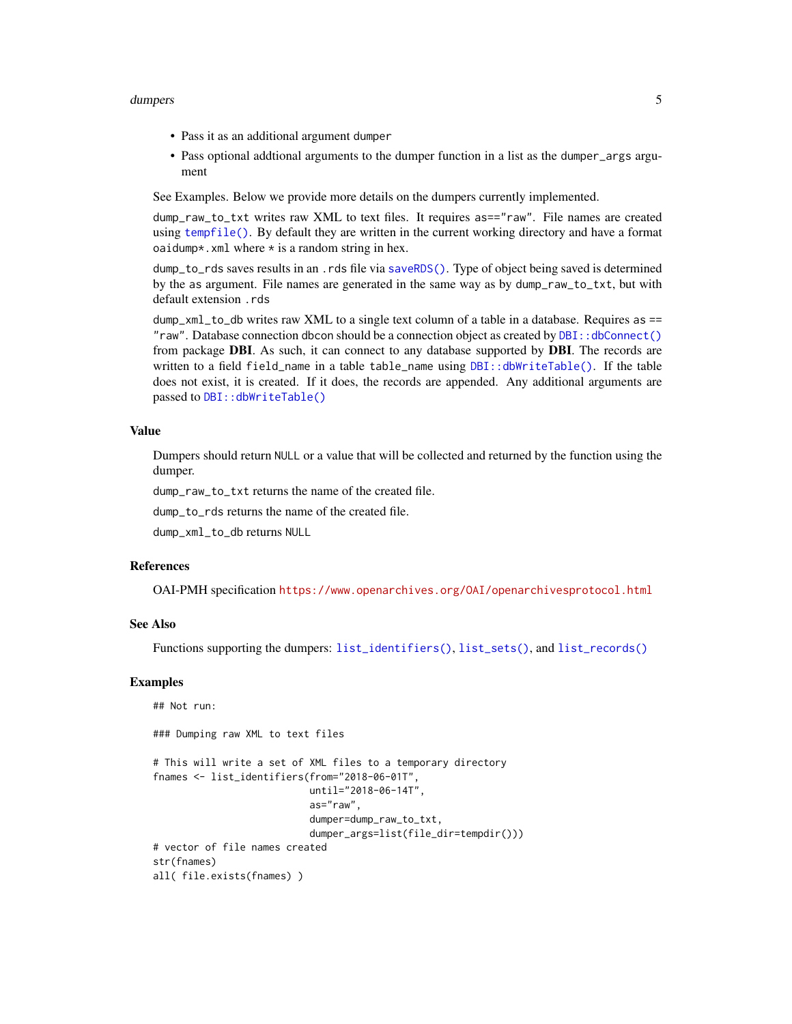#### <span id="page-4-0"></span>dumpers 5 to 1999 and 2009 and 2009 and 2009 and 2009 and 2009 and 2009 and 2009 and 2009 and 2009 and 2009 and 2009 and 2009 and 2009 and 2009 and 2009 and 2009 and 2009 and 2009 and 2009 and 2009 and 2009 and 2009 and 20

- Pass it as an additional argument dumper
- Pass optional addtional arguments to the dumper function in a list as the dumper\_args argument

See Examples. Below we provide more details on the dumpers currently implemented.

dump\_raw\_to\_txt writes raw XML to text files. It requires as=="raw". File names are created using [tempfile\(\)](#page-0-0). By default they are written in the current working directory and have a format oaidump\*.xml where  $*$  is a random string in hex.

dump\_to\_rds saves results in an .rds file via [saveRDS\(\)](#page-0-0). Type of object being saved is determined by the as argument. File names are generated in the same way as by dump\_raw\_to\_txt, but with default extension .rds

dump\_xml\_to\_db writes raw XML to a single text column of a table in a database. Requires as == "raw". Database connection dbcon should be a connection object as created by [DBI::dbConnect\(\)](#page-0-0) from package DBI. As such, it can connect to any database supported by DBI. The records are written to a field field\_name in a table table\_name using [DBI::dbWriteTable\(\)](#page-0-0). If the table does not exist, it is created. If it does, the records are appended. Any additional arguments are passed to [DBI::dbWriteTable\(\)](#page-0-0)

#### Value

Dumpers should return NULL or a value that will be collected and returned by the function using the dumper.

dump\_raw\_to\_txt returns the name of the created file.

dump\_to\_rds returns the name of the created file.

dump\_xml\_to\_db returns NULL

#### References

OAI-PMH specification <https://www.openarchives.org/OAI/openarchivesprotocol.html>

#### See Also

Functions supporting the dumpers: [list\\_identifiers\(\)](#page-7-1), [list\\_sets\(\)](#page-10-1), and [list\\_records\(\)](#page-9-1)

#### Examples

```
## Not run:
### Dumping raw XML to text files
# This will write a set of XML files to a temporary directory
fnames <- list_identifiers(from="2018-06-01T",
                           until="2018-06-14T",
                           as="raw",
                           dumper=dump_raw_to_txt,
                           dumper_args=list(file_dir=tempdir()))
# vector of file names created
str(fnames)
all( file.exists(fnames) )
```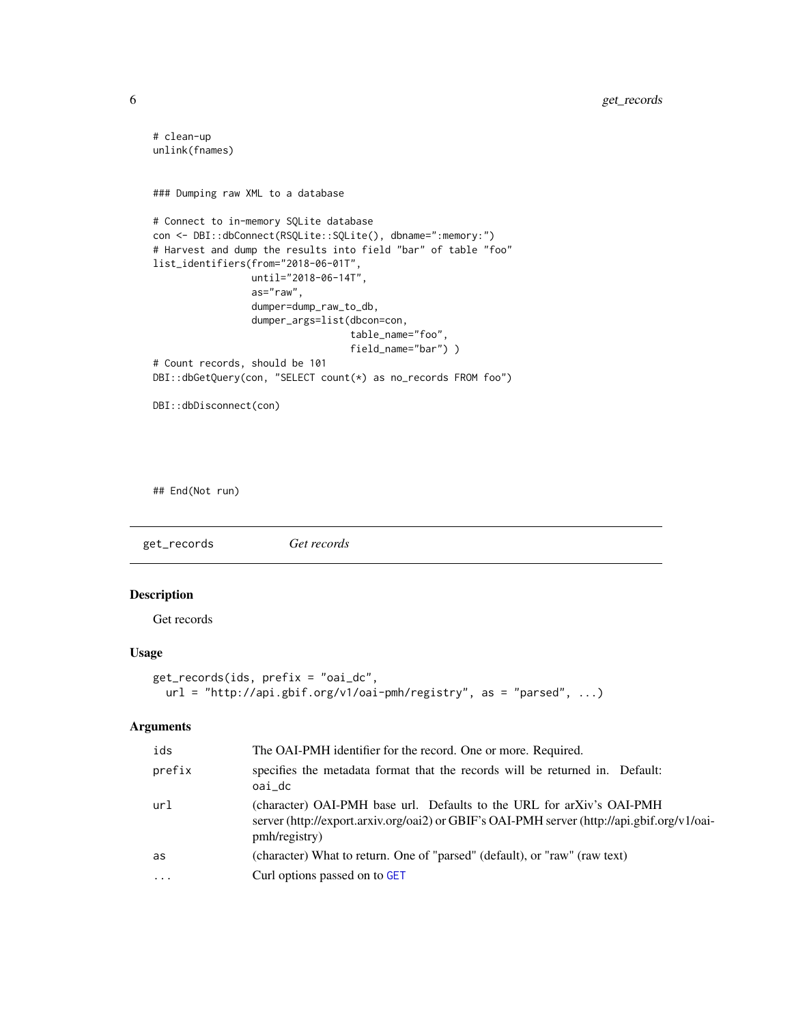```
# clean-up
unlink(fnames)
### Dumping raw XML to a database
# Connect to in-memory SQLite database
con <- DBI::dbConnect(RSQLite::SQLite(), dbname=":memory:")
# Harvest and dump the results into field "bar" of table "foo"
list_identifiers(from="2018-06-01T",
                 until="2018-06-14T",
                 as="raw",
                 dumper=dump_raw_to_db,
                 dumper_args=list(dbcon=con,
                                  table_name="foo",
                                  field_name="bar") )
# Count records, should be 101
DBI::dbGetQuery(con, "SELECT count(*) as no_records FROM foo")
DBI::dbDisconnect(con)
```
## End(Not run)

get\_records *Get records*

#### Description

Get records

#### Usage

```
get_records(ids, prefix = "oai_dc",
 url = "http://api.gbif.org/v1/oai-pmh/registry", as = "parsed", ...)
```

| ids       | The OAI-PMH identifier for the record. One or more. Required.                                                                                                                         |  |  |
|-----------|---------------------------------------------------------------------------------------------------------------------------------------------------------------------------------------|--|--|
| prefix    | specifies the metadata format that the records will be returned in. Default:<br>oai_dc                                                                                                |  |  |
| ur1       | (character) OAI-PMH base url. Defaults to the URL for arXiv's OAI-PMH<br>server (http://export.arxiv.org/oai2) or GBIF's OAI-PMH server (http://api.gbif.org/v1/oai-<br>pmh/registry) |  |  |
| as        | (character) What to return. One of "parsed" (default), or "raw" (raw text)                                                                                                            |  |  |
| $\ddotsc$ | Curl options passed on to GET                                                                                                                                                         |  |  |

<span id="page-5-0"></span>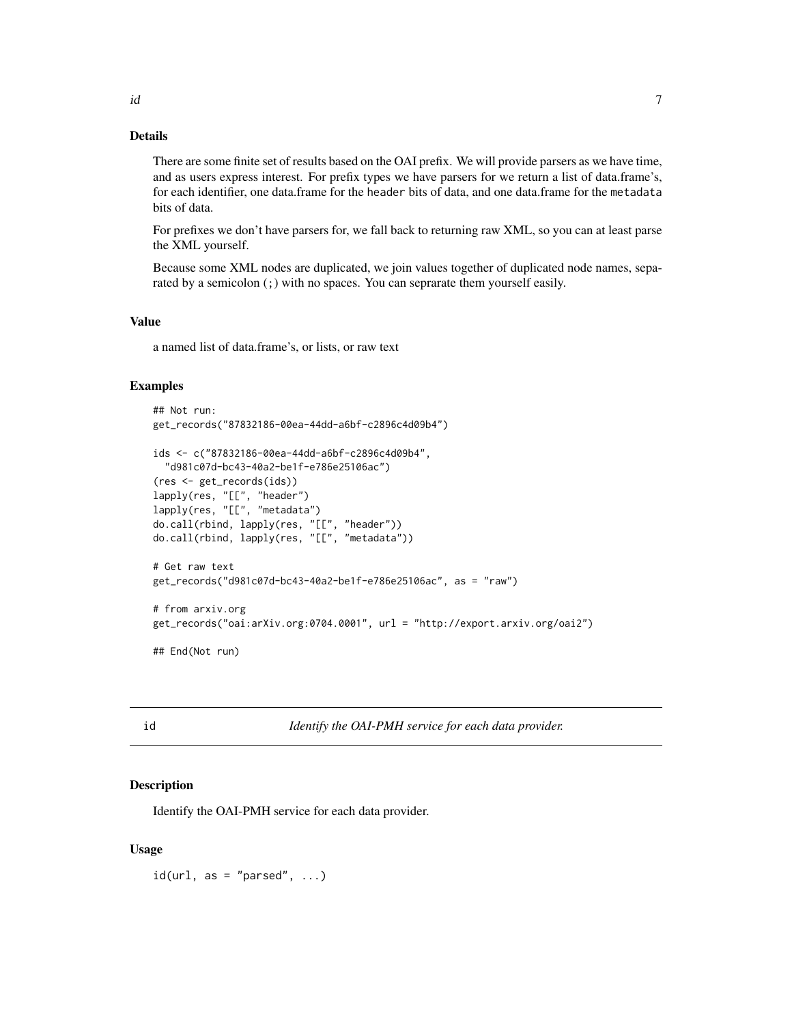#### Details

There are some finite set of results based on the OAI prefix. We will provide parsers as we have time, and as users express interest. For prefix types we have parsers for we return a list of data.frame's, for each identifier, one data.frame for the header bits of data, and one data.frame for the metadata bits of data.

For prefixes we don't have parsers for, we fall back to returning raw XML, so you can at least parse the XML yourself.

Because some XML nodes are duplicated, we join values together of duplicated node names, separated by a semicolon (;) with no spaces. You can seprarate them yourself easily.

#### Value

a named list of data.frame's, or lists, or raw text

#### Examples

```
## Not run:
get_records("87832186-00ea-44dd-a6bf-c2896c4d09b4")
ids <- c("87832186-00ea-44dd-a6bf-c2896c4d09b4",
 "d981c07d-bc43-40a2-be1f-e786e25106ac")
(res <- get_records(ids))
lapply(res, "[[", "header")
lapply(res, "[[", "metadata")
do.call(rbind, lapply(res, "[[", "header"))
do.call(rbind, lapply(res, "[[", "metadata"))
# Get raw text
get_records("d981c07d-bc43-40a2-be1f-e786e25106ac", as = "raw")
# from arxiv.org
get_records("oai:arXiv.org:0704.0001", url = "http://export.arxiv.org/oai2")
## End(Not run)
```
<span id="page-6-1"></span>id *Identify the OAI-PMH service for each data provider.*

#### **Description**

Identify the OAI-PMH service for each data provider.

#### Usage

 $id(url, as = "parsed", ...)$ 

<span id="page-6-0"></span>id and the contract of the contract of the contract of the contract of the contract of the contract of the contract of the contract of the contract of the contract of the contract of the contract of the contract of the con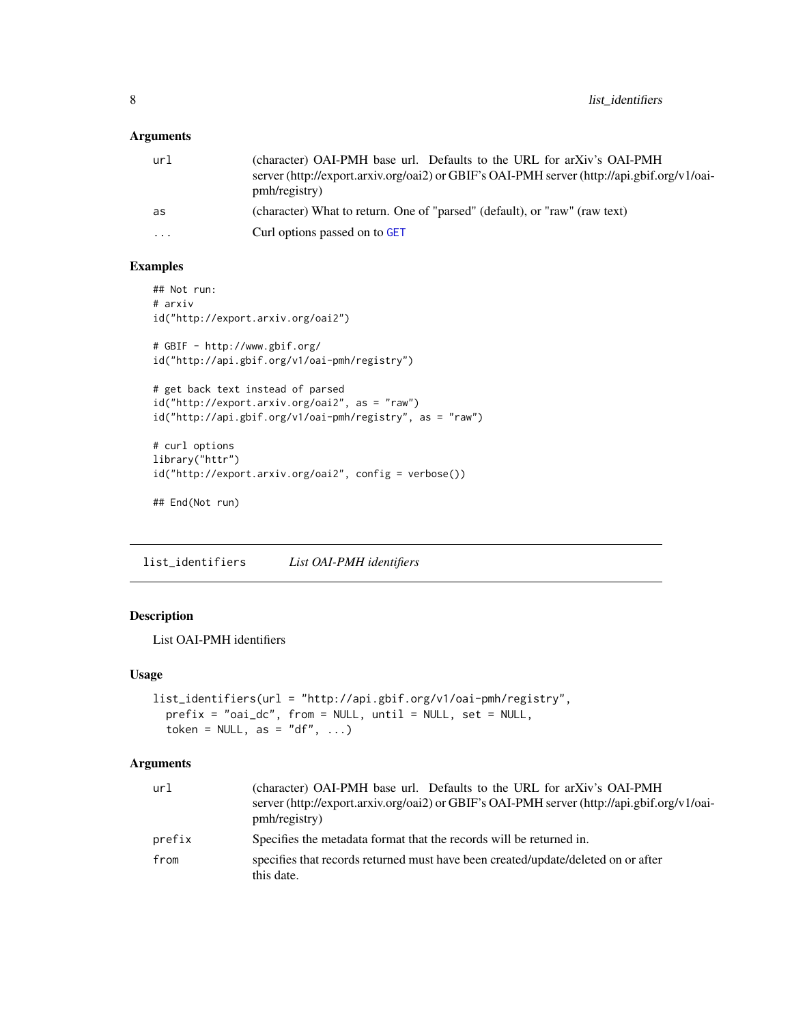# <span id="page-7-0"></span>Arguments

| url                     | (character) OAI-PMH base url. Defaults to the URL for arXiv's OAI-PMH<br>server (http://export.arxiv.org/oai2) or GBIF's OAI-PMH server (http://api.gbif.org/v1/oai-<br>pmh/registry) |
|-------------------------|---------------------------------------------------------------------------------------------------------------------------------------------------------------------------------------|
| as                      | (character) What to return. One of "parsed" (default), or "raw" (raw text)                                                                                                            |
| $\cdot$ $\cdot$ $\cdot$ | Curl options passed on to GET                                                                                                                                                         |

#### Examples

```
## Not run:
# arxiv
id("http://export.arxiv.org/oai2")
```

```
# GBIF - http://www.gbif.org/
id("http://api.gbif.org/v1/oai-pmh/registry")
```

```
# get back text instead of parsed
id("http://export.arxiv.org/oai2", as = "raw")
id("http://api.gbif.org/v1/oai-pmh/registry", as = "raw")
```

```
# curl options
library("httr")
id("http://export.arxiv.org/oai2", config = verbose())
```

```
## End(Not run)
```
<span id="page-7-1"></span>list\_identifiers *List OAI-PMH identifiers*

### Description

List OAI-PMH identifiers

#### Usage

```
list_identifiers(url = "http://api.gbif.org/v1/oai-pmh/registry",
 prefix = "oai_dc", from = NULL, until = NULL, set = NULL,
  token = NULL, as = "df", ...)
```

| url    | (character) OAI-PMH base url. Defaults to the URL for arXiv's OAI-PMH<br>server (http://export.arxiv.org/oai2) or GBIF's OAI-PMH server (http://api.gbif.org/v1/oai-<br>pmh/registry) |  |  |  |
|--------|---------------------------------------------------------------------------------------------------------------------------------------------------------------------------------------|--|--|--|
| prefix | Specifies the metadata format that the records will be returned in.                                                                                                                   |  |  |  |
| from   | specifies that records returned must have been created/update/deleted on or after<br>this date.                                                                                       |  |  |  |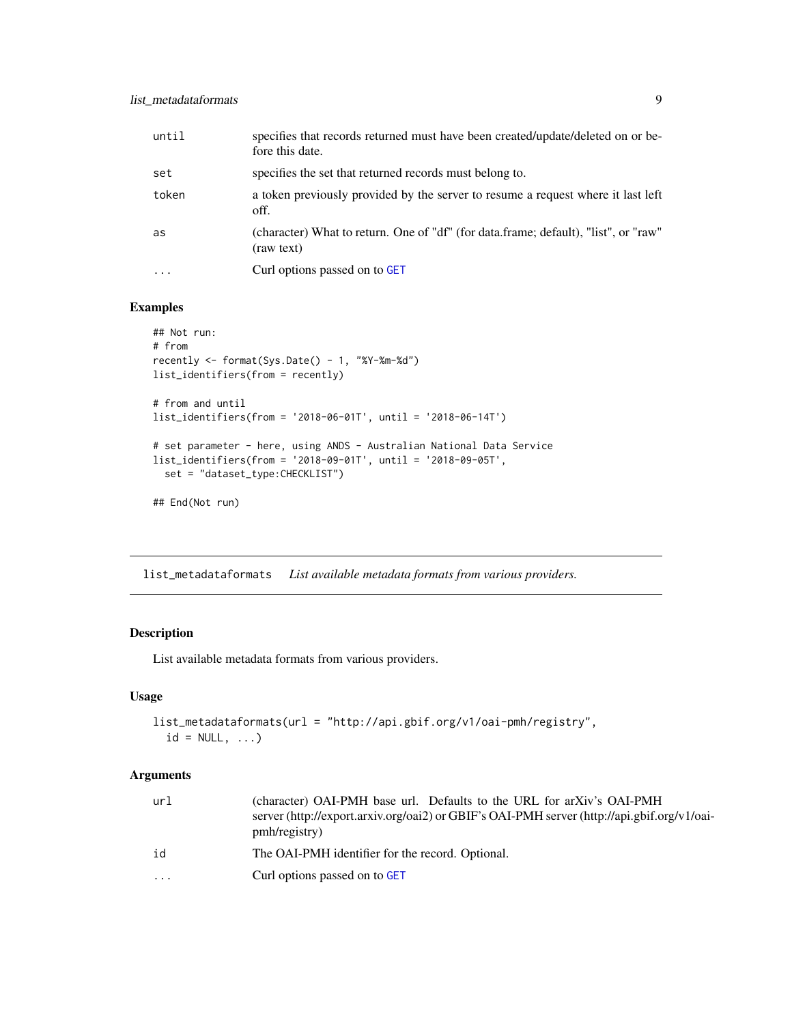<span id="page-8-0"></span>

| until     | specifies that records returned must have been created/update/deleted on or be-<br>fore this date. |
|-----------|----------------------------------------------------------------------------------------------------|
| set       | specifies the set that returned records must belong to.                                            |
| token     | a token previously provided by the server to resume a request where it last left<br>off.           |
| as        | (character) What to return. One of "df" (for data.frame; default), "list", or "raw"<br>(raw text)  |
| $\ddotsc$ | Curl options passed on to GET                                                                      |

#### Examples

```
## Not run:
# from
recently <- format(Sys.Date() - 1, "%Y-%m-%d")
list_identifiers(from = recently)
# from and until
list_identifiers(from = '2018-06-01T', until = '2018-06-14T')
# set parameter - here, using ANDS - Australian National Data Service
list_identifiers(from = '2018-09-01T', until = '2018-09-05T',
  set = "dataset_type:CHECKLIST")
## End(Not run)
```
list\_metadataformats *List available metadata formats from various providers.*

# Description

List available metadata formats from various providers.

### Usage

```
list_metadataformats(url = "http://api.gbif.org/v1/oai-pmh/registry",
  id = NULL, ...
```

| url | (character) OAI-PMH base url. Defaults to the URL for arXiv's OAI-PMH<br>server (http://export.arxiv.org/oai2) or GBIF's OAI-PMH server (http://api.gbif.org/v1/oai-<br>pmh/registry) |
|-----|---------------------------------------------------------------------------------------------------------------------------------------------------------------------------------------|
| id  | The OAI-PMH identifier for the record. Optional.                                                                                                                                      |
| .   | Curl options passed on to GET                                                                                                                                                         |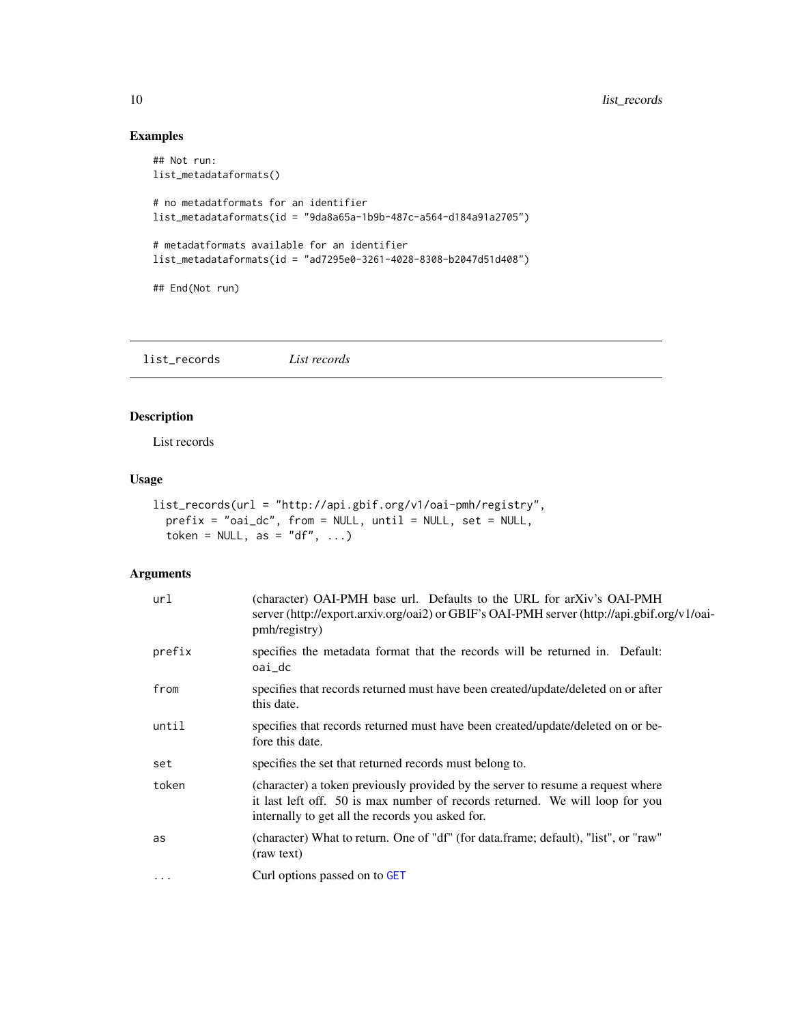### Examples

```
## Not run:
list_metadataformats()
# no metadatformats for an identifier
list_metadataformats(id = "9da8a65a-1b9b-487c-a564-d184a91a2705")
# metadatformats available for an identifier
list_metadataformats(id = "ad7295e0-3261-4028-8308-b2047d51d408")
## End(Not run)
```
<span id="page-9-1"></span>list\_records *List records*

# Description

List records

#### Usage

```
list_records(url = "http://api.gbif.org/v1/oai-pmh/registry",
 prefix = "oai_dc", from = NULL, until = NULL, set = NULL,
  token = NULL, as = "df", ...)
```

| url      | (character) OAI-PMH base url. Defaults to the URL for arXiv's OAI-PMH<br>server (http://export.arxiv.org/oai2) or GBIF's OAI-PMH server (http://api.gbif.org/v1/oai-<br>pmh/registry)                               |
|----------|---------------------------------------------------------------------------------------------------------------------------------------------------------------------------------------------------------------------|
| prefix   | specifies the metadata format that the records will be returned in. Default:<br>oai_dc                                                                                                                              |
| from     | specifies that records returned must have been created/update/deleted on or after<br>this date.                                                                                                                     |
| until    | specifies that records returned must have been created/update/deleted on or be-<br>fore this date.                                                                                                                  |
| set      | specifies the set that returned records must belong to.                                                                                                                                                             |
| token    | (character) a token previously provided by the server to resume a request where<br>it last left off. 50 is max number of records returned. We will loop for you<br>internally to get all the records you asked for. |
| as       | (character) What to return. One of "df" (for data.frame; default), "list", or "raw"<br>(raw text)                                                                                                                   |
| $\cdots$ | Curl options passed on to GET                                                                                                                                                                                       |

<span id="page-9-0"></span>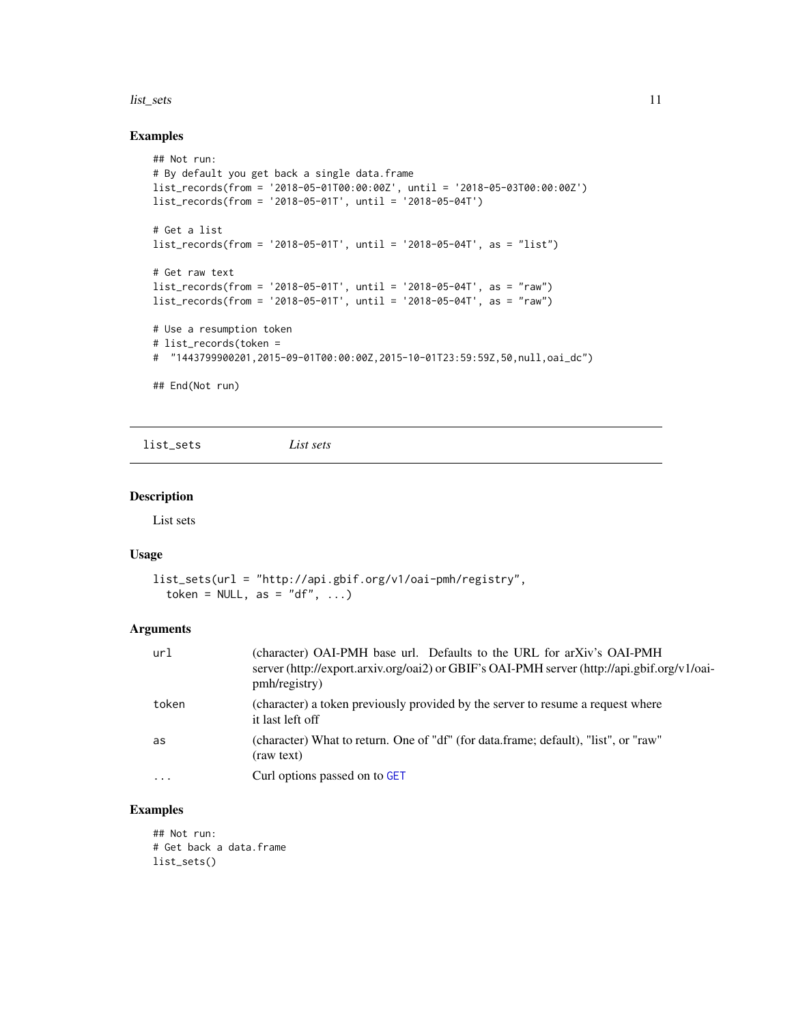#### <span id="page-10-0"></span>list\_sets 11

#### Examples

```
## Not run:
# By default you get back a single data.frame
list_records(from = '2018-05-01T00:00:00Z', until = '2018-05-03T00:00:00Z')
list_records(from = '2018-05-01T', until = '2018-05-04T')
# Get a list
list_records(from = '2018-05-01T', until = '2018-05-04T', as = "list")
# Get raw text
list_records(from = '2018-05-01T', until = '2018-05-04T', as = "raw")
list_records(from = '2018-05-01T', until = '2018-05-04T', as = "raw")
# Use a resumption token
# list_records(token =
# "1443799900201,2015-09-01T00:00:00Z,2015-10-01T23:59:59Z,50,null,oai_dc")
## End(Not run)
```

```
list_sets List sets
```
#### Description

List sets

#### Usage

```
list_sets(url = "http://api.gbif.org/v1/oai-pmh/registry",
  token = NULL, as = "df", \ldots)
```
#### Arguments

| url      | (character) OAI-PMH base url. Defaults to the URL for arXiv's OAI-PMH<br>server (http://export.arxiv.org/oai2) or GBIF's OAI-PMH server (http://api.gbif.org/v1/oai-<br>pmh/registry) |
|----------|---------------------------------------------------------------------------------------------------------------------------------------------------------------------------------------|
| token    | (character) a token previously provided by the server to resume a request where<br>it last left off                                                                                   |
| as       | (character) What to return. One of "df" (for data.frame; default), "list", or "raw"<br>(raw text)                                                                                     |
| $\cdots$ | Curl options passed on to GET                                                                                                                                                         |

### Examples

## Not run: # Get back a data.frame list\_sets()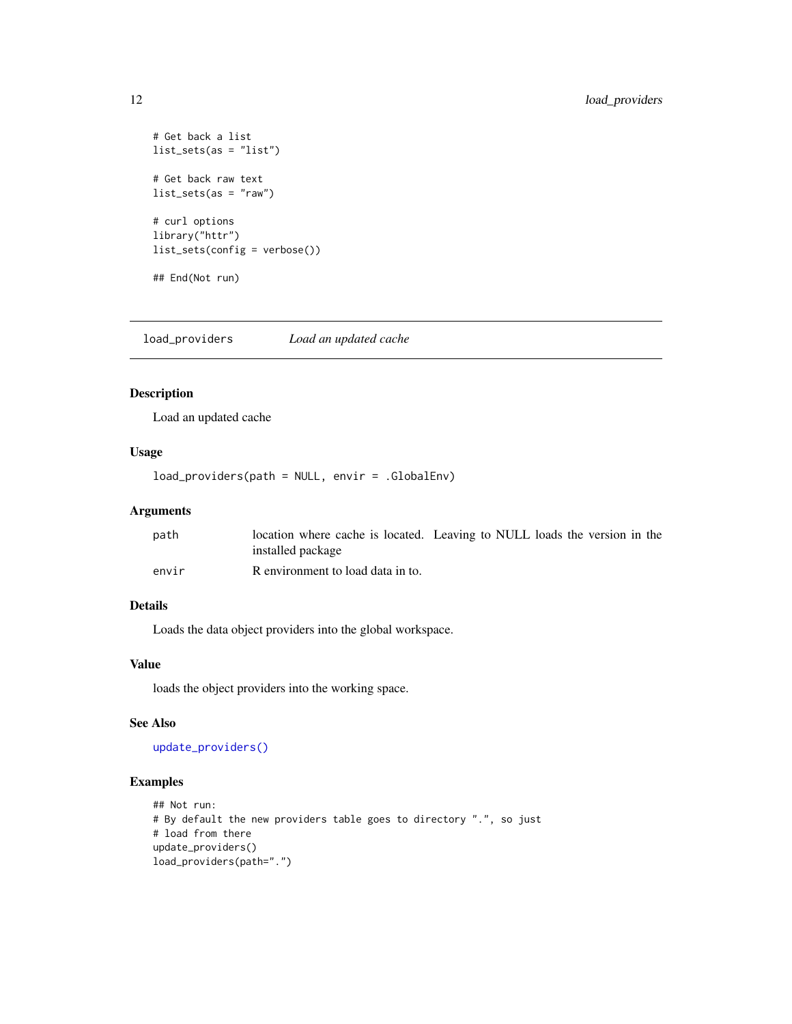```
# Get back a list
list_sets(as = "list")
# Get back raw text
list_sets(as = "raw")
# curl options
library("httr")
list_sets(config = verbose())
## End(Not run)
```
<span id="page-11-1"></span>load\_providers *Load an updated cache*

### Description

Load an updated cache

# Usage

load\_providers(path = NULL, envir = .GlobalEnv)

#### Arguments

| path  | location where cache is located. Leaving to NULL loads the version in the |  |  |  |  |
|-------|---------------------------------------------------------------------------|--|--|--|--|
|       | installed package                                                         |  |  |  |  |
| envir | R environment to load data in to.                                         |  |  |  |  |

# Details

Loads the data object providers into the global workspace.

# Value

loads the object providers into the working space.

#### See Also

[update\\_providers\(\)](#page-13-1)

#### Examples

```
## Not run:
# By default the new providers table goes to directory ".", so just
# load from there
update_providers()
load_providers(path=".")
```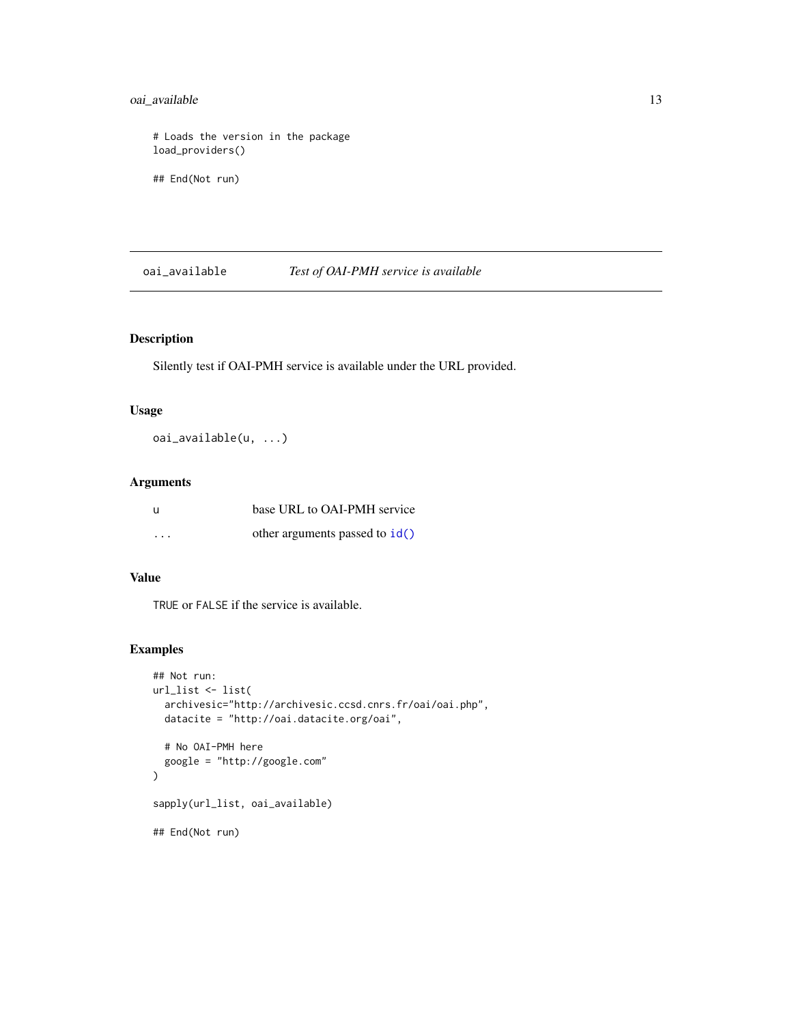### <span id="page-12-0"></span>oai\_available 13

# Loads the version in the package load\_providers() ## End(Not run)

oai\_available *Test of OAI-PMH service is available*

### Description

Silently test if OAI-PMH service is available under the URL provided.

#### Usage

oai\_available(u, ...)

#### Arguments

| - U      | base URL to OAI-PMH service    |
|----------|--------------------------------|
| $\cdots$ | other arguments passed to id() |

#### Value

TRUE or FALSE if the service is available.

### Examples

```
## Not run:
url_list <- list(
  archivesic="http://archivesic.ccsd.cnrs.fr/oai/oai.php",
  datacite = "http://oai.datacite.org/oai",
  # No OAI-PMH here
  google = "http://google.com"
\mathcal{L}sapply(url_list, oai_available)
## End(Not run)
```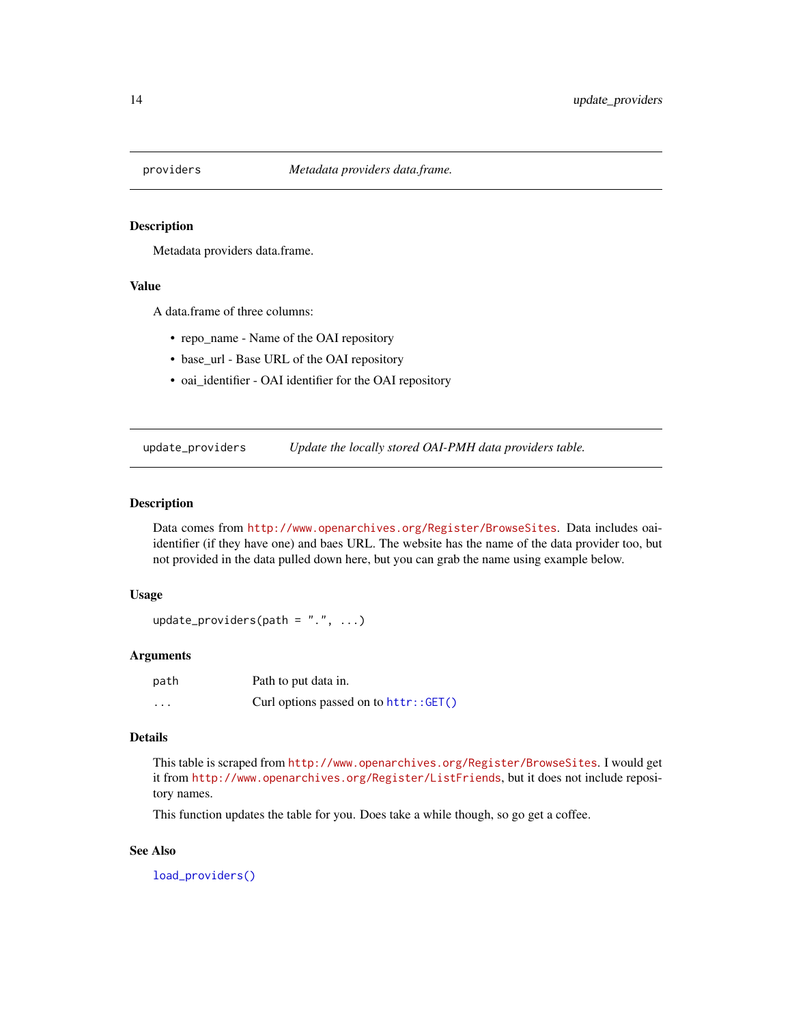<span id="page-13-0"></span>

#### Description

Metadata providers data.frame.

#### Value

A data.frame of three columns:

- repo\_name Name of the OAI repository
- base\_url Base URL of the OAI repository
- oai\_identifier OAI identifier for the OAI repository

<span id="page-13-1"></span>update\_providers *Update the locally stored OAI-PMH data providers table.*

#### Description

Data comes from <http://www.openarchives.org/Register/BrowseSites>. Data includes oaiidentifier (if they have one) and baes URL. The website has the name of the data provider too, but not provided in the data pulled down here, but you can grab the name using example below.

#### Usage

```
update_providers(path = "."., ...)
```
#### Arguments

| path     | Path to put data in.                     |
|----------|------------------------------------------|
| $\cdots$ | Curl options passed on to $http://GET()$ |

#### Details

This table is scraped from <http://www.openarchives.org/Register/BrowseSites>. I would get it from <http://www.openarchives.org/Register/ListFriends>, but it does not include repository names.

This function updates the table for you. Does take a while though, so go get a coffee.

# See Also

[load\\_providers\(\)](#page-11-1)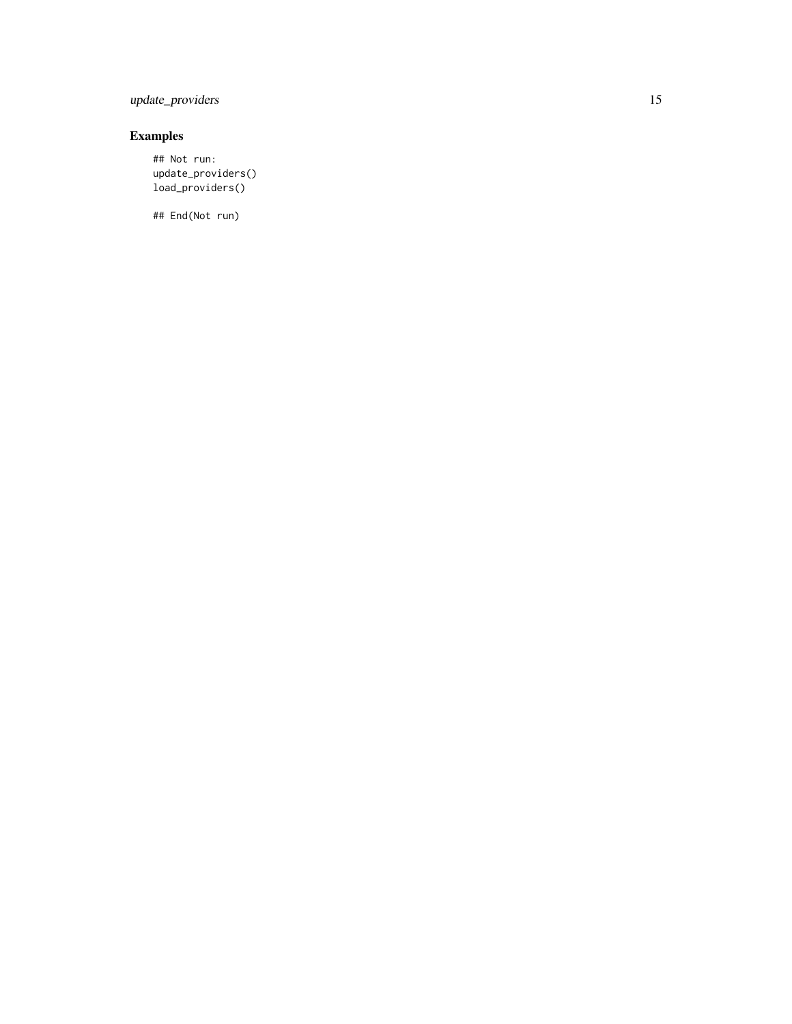# update\_providers 15

# Examples

## Not run: update\_providers() load\_providers()

## End(Not run)